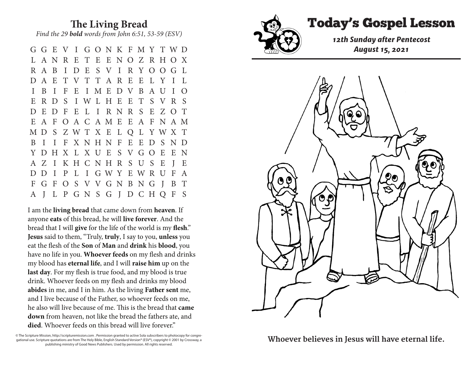## **The Living Bread** *Find the 29 bold words from John 6:51, 53-59 (ESV)*

G G E V I G O N K F M Y T W D L A N R E T E E N O Z R H O X R A B I D E S V I R Y O O G L D A E T V T T A R E E L Y I L I B I F E I M E D V B A U I O E R D S I W L H E E T S V R S D E D F E L I R N R S E Z O T E A F O A C A M E E A F N A M M D S Z W T X E L Q L Y W X T B I I F X N H N F E E D S N D Y D H X L X U E S V G O E E N A Z I K H C N H R S U S E J E D D I P L I G W Y E W R U F A F G F O S V V G N B N G J B T A J L P G N S G J D C H Q F S

I am the **living bread** that came down from **heaven**. If anyone **eats** of this bread, he will **live forever**. And the bread that I will **give** for the life of the world is my **flesh**." **Jesus** said to them, "Truly, **truly**, I say to you, **unless** you eat the flesh of the **Son** of **Man** and **drink** his **blood**, you have no life in you. **Whoever feeds** on my flesh and drinks my blood has **eternal life**, and I will **raise him** up on the **last day**. For my flesh is true food, and my blood is true drink. Whoever feeds on my flesh and drinks my blood **abides** in me, and I in him. As the living **Father sent** me, and I live because of the Father, so whoever feeds on me, he also will live because of me. This is the bread that **came down** from heaven, not like the bread the fathers ate, and **died**. Whoever feeds on this bread will live forever."

© The Scripture Mission, http://scripturemission.com . Permission granted to active Sola subscribers to photocopy for congregational use. Scripture quotations are from The Holy Bible, English Standard Version® (ESV®), copyright © 2001 by Crossway, a publishing ministry of Good News Publishers. Used by permission. All rights reserved.



Whoever believes in Jesus will have eternal life. publishing ministry of Good News Publishers. Used by permission. All rights reserved.



## Today's Gospel Lesson **The Living Bread**